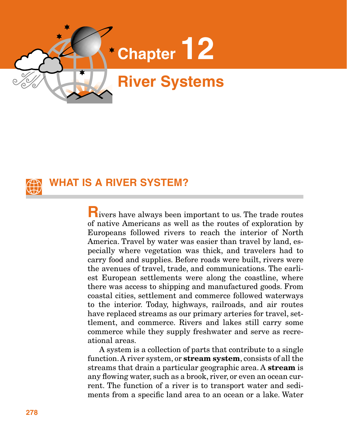

# **WHAT IS A RIVER SYSTEM?**

**R**ivers have always been important to us. The trade routes of native Americans as well as the routes of exploration by Europeans followed rivers to reach the interior of North America. Travel by water was easier than travel by land, especially where vegetation was thick, and travelers had to carry food and supplies. Before roads were built, rivers were the avenues of travel, trade, and communications. The earliest European settlements were along the coastline, where there was access to shipping and manufactured goods. From coastal cities, settlement and commerce followed waterways to the interior. Today, highways, railroads, and air routes have replaced streams as our primary arteries for travel, settlement, and commerce. Rivers and lakes still carry some commerce while they supply freshwater and serve as recreational areas.

A system is a collection of parts that contribute to a single function.A river system, or **stream system**, consists of all the streams that drain a particular geographic area. A **stream** is any flowing water, such as a brook, river, or even an ocean current. The function of a river is to transport water and sediments from a specific land area to an ocean or a lake. Water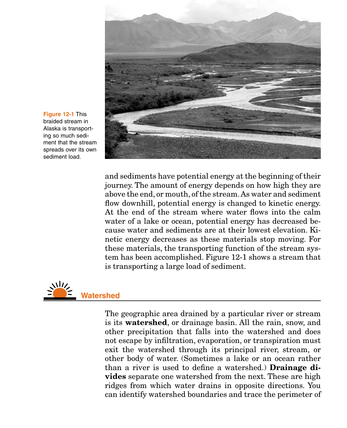

**Figure 12-1** This braided stream in Alaska is transporting so much sediment that the stream spreads over its own sediment load.

and sediments have potential energy at the beginning of their journey. The amount of energy depends on how high they are above the end, or mouth, of the stream.As water and sediment flow downhill, potential energy is changed to kinetic energy. At the end of the stream where water flows into the calm water of a lake or ocean, potential energy has decreased because water and sediments are at their lowest elevation. Kinetic energy decreases as these materials stop moving. For these materials, the transporting function of the stream system has been accomplished. Figure 12-1 shows a stream that is transporting a large load of sediment.



The geographic area drained by a particular river or stream is its **watershed**, or drainage basin. All the rain, snow, and other precipitation that falls into the watershed and does not escape by infiltration, evaporation, or transpiration must exit the watershed through its principal river, stream, or other body of water. (Sometimes a lake or an ocean rather than a river is used to define a watershed.) **Drainage divides** separate one watershed from the next. These are high ridges from which water drains in opposite directions. You can identify watershed boundaries and trace the perimeter of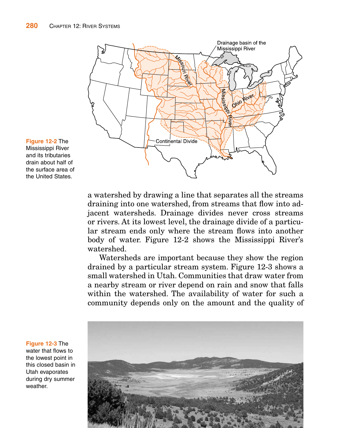

**Figure 12-2** The Mississippi River and its tributaries drain about half of the surface area of the United States.

## a watershed by drawing a line that separates all the streams draining into one watershed, from streams that flow into adjacent watersheds. Drainage divides never cross streams or rivers. At its lowest level, the drainage divide of a particular stream ends only where the stream flows into another body of water. Figure 12-2 shows the Mississippi River's watershed.

Watersheds are important because they show the region drained by a particular stream system. Figure 12-3 shows a small watershed in Utah. Communities that draw water from a nearby stream or river depend on rain and snow that falls within the watershed. The availability of water for such a community depends only on the amount and the quality of



**Figure 12-3** The

water that flows to the lowest point in this closed basin in Utah evaporates during dry summer weather.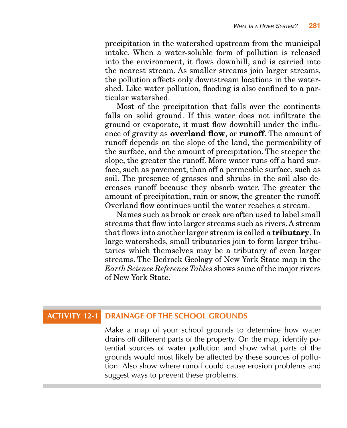precipitation in the watershed upstream from the municipal intake. When a water-soluble form of pollution is released into the environment, it flows downhill, and is carried into the nearest stream. As smaller streams join larger streams, the pollution affects only downstream locations in the watershed. Like water pollution, flooding is also confined to a particular watershed.

Most of the precipitation that falls over the continents falls on solid ground. If this water does not infiltrate the ground or evaporate, it must flow downhill under the influence of gravity as **overland flow**, or **runoff**. The amount of runoff depends on the slope of the land, the permeability of the surface, and the amount of precipitation. The steeper the slope, the greater the runoff. More water runs off a hard surface, such as pavement, than off a permeable surface, such as soil. The presence of grasses and shrubs in the soil also decreases runoff because they absorb water. The greater the amount of precipitation, rain or snow, the greater the runoff. Overland flow continues until the water reaches a stream.

Names such as brook or creek are often used to label small streams that flow into larger streams such as rivers. A stream that flows into another larger stream is called a **tributary**. In large watersheds, small tributaries join to form larger tributaries which themselves may be a tributary of even larger streams. The Bedrock Geology of New York State map in the *Earth Science Reference Tables* shows some of the major rivers of New York State.

### **ACTIVITY 12-1 DRAINAGE OF THE SCHOOL GROUNDS**

Make a map of your school grounds to determine how water drains off different parts of the property. On the map, identify potential sources of water pollution and show what parts of the grounds would most likely be affected by these sources of pollution. Also show where runoff could cause erosion problems and suggest ways to prevent these problems.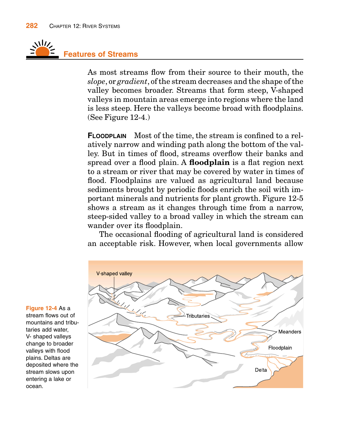

As most streams flow from their source to their mouth, the *slope*, or *gradient*, of the stream decreases and the shape of the valley becomes broader. Streams that form steep, V-shaped valleys in mountain areas emerge into regions where the land is less steep. Here the valleys become broad with floodplains. (See Figure 12-4.)

**FLOODPLAIN** Most of the time, the stream is confined to a relatively narrow and winding path along the bottom of the valley. But in times of flood, streams overflow their banks and spread over a flood plain. A **floodplain** is a flat region next to a stream or river that may be covered by water in times of flood. Floodplains are valued as agricultural land because sediments brought by periodic floods enrich the soil with important minerals and nutrients for plant growth. Figure 12-5 shows a stream as it changes through time from a narrow, steep-sided valley to a broad valley in which the stream can wander over its floodplain.

The occasional flooding of agricultural land is considered an acceptable risk. However, when local governments allow



**Figure 12-4** As a stream flows out of mountains and tributaries add water, V- shaped valleys change to broader valleys with flood plains. Deltas are deposited where the stream slows upon entering a lake or ocean.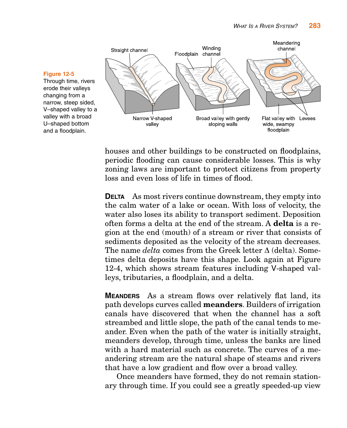

**Figure 12-5** Through time, rivers erode their valleys changing from a narrow, steep sided, V–shaped valley to a valley with a broad U–shaped bottom and a floodplain.

> houses and other buildings to be constructed on floodplains, periodic flooding can cause considerable losses. This is why zoning laws are important to protect citizens from property loss and even loss of life in times of flood.

> **DELTA** As most rivers continue downstream, they empty into the calm water of a lake or ocean. With loss of velocity, the water also loses its ability to transport sediment. Deposition often forms a delta at the end of the stream. A **delta** is a region at the end (mouth) of a stream or river that consists of sediments deposited as the velocity of the stream decreases. The name *delta* comes from the Greek letter A (delta). Sometimes delta deposits have this shape. Look again at Figure 12-4, which shows stream features including V-shaped valleys, tributaries, a floodplain, and a delta.

> **MEANDERS** As a stream flows over relatively flat land, its path develops curves called **meanders**. Builders of irrigation canals have discovered that when the channel has a soft streambed and little slope, the path of the canal tends to meander. Even when the path of the water is initially straight, meanders develop, through time, unless the banks are lined with a hard material such as concrete. The curves of a meandering stream are the natural shape of steams and rivers that have a low gradient and flow over a broad valley.

> Once meanders have formed, they do not remain stationary through time. If you could see a greatly speeded-up view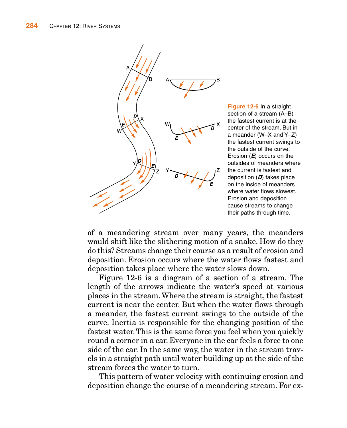

**Figure 12-6** In a straight section of a stream (A–B) the fastest current is at the center of the stream. But in a meander (W–X and Y–Z) the fastest current swings to the outside of the curve. Erosion (*E*) occurs on the outsides of meanders where the current is fastest and deposition (*D*) takes place on the inside of meanders where water flows slowest. Erosion and deposition cause streams to change their paths through time.

of a meandering stream over many years, the meanders would shift like the slithering motion of a snake. How do they do this? Streams change their course as a result of erosion and deposition. Erosion occurs where the water flows fastest and deposition takes place where the water slows down.

Figure 12-6 is a diagram of a section of a stream. The length of the arrows indicate the water's speed at various places in the stream. Where the stream is straight, the fastest current is near the center. But when the water flows through a meander, the fastest current swings to the outside of the curve. Inertia is responsible for the changing position of the fastest water. This is the same force you feel when you quickly round a corner in a car. Everyone in the car feels a force to one side of the car. In the same way, the water in the stream travels in a straight path until water building up at the side of the stream forces the water to turn.

This pattern of water velocity with continuing erosion and deposition change the course of a meandering stream. For ex-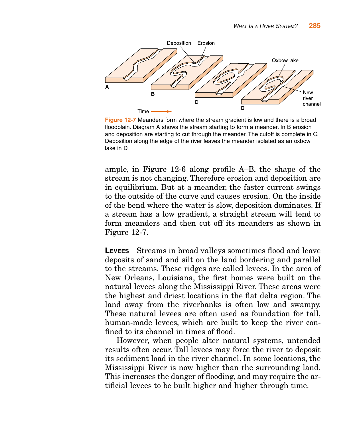

**Figure 12-7** Meanders form where the stream gradient is low and there is a broad floodplain. Diagram A shows the stream starting to form a meander. In B erosion and deposition are starting to cut through the meander. The cutoff is complete in C. Deposition along the edge of the river leaves the meander isolated as an oxbow lake in D.

ample, in Figure 12-6 along profile A–B, the shape of the stream is not changing. Therefore erosion and deposition are in equilibrium. But at a meander, the faster current swings to the outside of the curve and causes erosion. On the inside of the bend where the water is slow, deposition dominates. If a stream has a low gradient, a straight stream will tend to form meanders and then cut off its meanders as shown in Figure 12-7.

**LEVEES** Streams in broad valleys sometimes flood and leave deposits of sand and silt on the land bordering and parallel to the streams. These ridges are called levees. In the area of New Orleans, Louisiana, the first homes were built on the natural levees along the Mississippi River. These areas were the highest and driest locations in the flat delta region. The land away from the riverbanks is often low and swampy. These natural levees are often used as foundation for tall, human-made levees, which are built to keep the river confined to its channel in times of flood.

However, when people alter natural systems, untended results often occur. Tall levees may force the river to deposit its sediment load in the river channel. In some locations, the Mississippi River is now higher than the surrounding land. This increases the danger of flooding, and may require the artificial levees to be built higher and higher through time.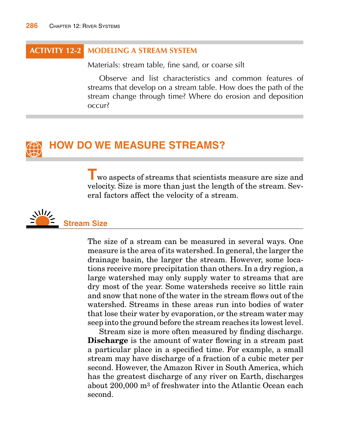## **ACTIVITY 12-2 MODELING A STREAM SYSTEM**

Materials: stream table, fine sand, or coarse silt

Observe and list characteristics and common features of streams that develop on a stream table. How does the path of the stream change through time? Where do erosion and deposition occur?



**T**wo aspects of streams that scientists measure are size and velocity. Size is more than just the length of the stream. Several factors affect the velocity of a stream.



The size of a stream can be measured in several ways. One measure is the area of its watershed. In general, the larger the drainage basin, the larger the stream. However, some locations receive more precipitation than others. In a dry region, a large watershed may only supply water to streams that are dry most of the year. Some watersheds receive so little rain and snow that none of the water in the stream flows out of the watershed. Streams in these areas run into bodies of water that lose their water by evaporation, or the stream water may seep into the ground before the stream reaches its lowest level.

Stream size is more often measured by finding discharge. **Discharge** is the amount of water flowing in a stream past a particular place in a specified time. For example, a small stream may have discharge of a fraction of a cubic meter per second. However, the Amazon River in South America, which has the greatest discharge of any river on Earth, discharges about 200,000 m3 of freshwater into the Atlantic Ocean each second.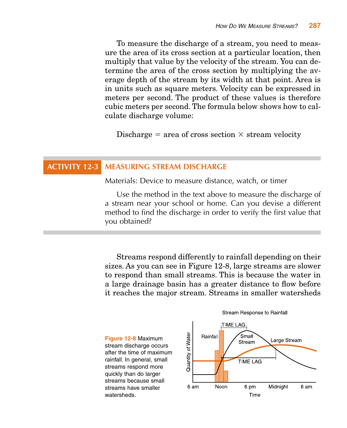To measure the discharge of a stream, you need to measure the area of its cross section at a particular location, then multiply that value by the velocity of the stream. You can determine the area of the cross section by multiplying the average depth of the stream by its width at that point. Area is in units such as square meters. Velocity can be expressed in meters per second. The product of these values is therefore cubic meters per second. The formula below shows how to calculate discharge volume:

 $Discharge = area$  of cross section  $\times$  stream velocity

## **ACTIVITY 12-3 MEASURING STREAM DISCHARGE**

Materials: Device to measure distance, watch, or timer

Use the method in the text above to measure the discharge of a stream near your school or home. Can you devise a different method to find the discharge in order to verify the first value that you obtained?

Streams respond differently to rainfall depending on their sizes. As you can see in Figure 12-8, large streams are slower to respond than small streams. This is because the water in a large drainage basin has a greater distance to flow before it reaches the major stream. Streams in smaller watersheds

**Figure 12-8** Maximum stream discharge occurs after the time of maximum rainfall. In general, small streams respond more quickly than do larger streams because small streams have smaller watersheds.



#### Stream Response to Rainfall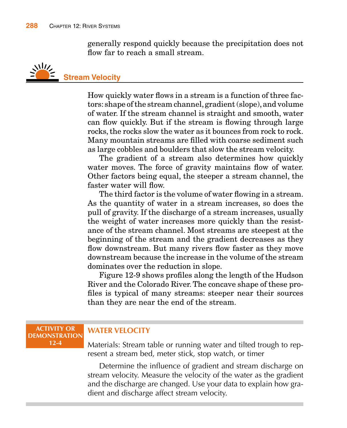generally respond quickly because the precipitation does not flow far to reach a small stream.



How quickly water flows in a stream is a function of three factors:shape of the stream channel,gradient (slope),and volume of water. If the stream channel is straight and smooth, water can flow quickly. But if the stream is flowing through large rocks, the rocks slow the water as it bounces from rock to rock. Many mountain streams are filled with coarse sediment such as large cobbles and boulders that slow the stream velocity.

The gradient of a stream also determines how quickly water moves. The force of gravity maintains flow of water. Other factors being equal, the steeper a stream channel, the faster water will flow.

The third factor is the volume of water flowing in a stream. As the quantity of water in a stream increases, so does the pull of gravity. If the discharge of a stream increases, usually the weight of water increases more quickly than the resistance of the stream channel. Most streams are steepest at the beginning of the stream and the gradient decreases as they flow downstream. But many rivers flow faster as they move downstream because the increase in the volume of the stream dominates over the reduction in slope.

Figure 12-9 shows profiles along the length of the Hudson River and the Colorado River. The concave shape of these profiles is typical of many streams: steeper near their sources than they are near the end of the stream.



## **WATER VELOCITY**

Materials: Stream table or running water and tilted trough to represent a stream bed, meter stick, stop watch, or timer

Determine the influence of gradient and stream discharge on stream velocity. Measure the velocity of the water as the gradient and the discharge are changed. Use your data to explain how gradient and discharge affect stream velocity.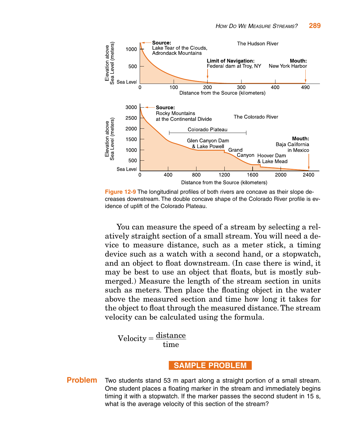

**Figure 12-9** The longitudinal profiles of both rivers are concave as their slope decreases downstream. The double concave shape of the Colorado River profile is evidence of uplift of the Colorado Plateau.

You can measure the speed of a stream by selecting a relatively straight section of a small stream. You will need a device to measure distance, such as a meter stick, a timing device such as a watch with a second hand, or a stopwatch, and an object to float downstream. (In case there is wind, it may be best to use an object that floats, but is mostly submerged.) Measure the length of the stream section in units such as meters. Then place the floating object in the water above the measured section and time how long it takes for the object to float through the measured distance. The stream velocity can be calculated using the formula.

 $\text{Velocity} = \frac{\text{distance}}{\text{time}}$ 

### **SAMPLE PROBLEM**

**Problem** Two students stand 53 m apart along a straight portion of a small stream. One student places a floating marker in the stream and immediately begins timing it with a stopwatch. If the marker passes the second student in 15 s, what is the average velocity of this section of the stream?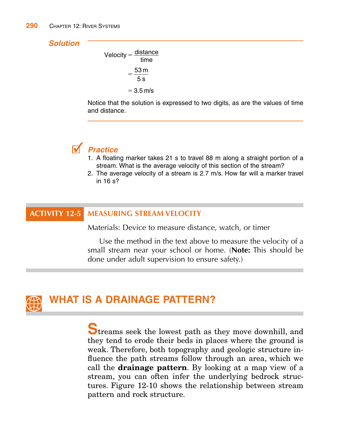*Solution*

 $\text{Velocity} = \frac{\text{distance}}{\text{time}}$ m  $=\frac{53 \text{ m}}{5 \text{ s}}$  $= 3.5 \,\mathrm{m/s}$ 

Notice that the solution is expressed to two digits, as are the values of time and distance.



- 1. A floating marker takes 21 s to travel 88 m along a straight portion of a stream. What is the average velocity of this section of the stream?
- 2. The average velocity of a stream is 2.7 m/s. How far will a marker travel in 16 s?

## **ACTIVITY 12-5 MEASURING STREAM VELOCITY**

Materials: Device to measure distance, watch, or timer

Use the method in the text above to measure the velocity of a small stream near your school or home. (**Note:** This should be done under adult supervision to ensure safety.)



## **WHAT IS A DRAINAGE PATTERN?**

**S**treams seek the lowest path as they move downhill, and they tend to erode their beds in places where the ground is weak. Therefore, both topography and geologic structure influence the path streams follow through an area, which we call the **drainage pattern**. By looking at a map view of a stream, you can often infer the underlying bedrock structures. Figure 12-10 shows the relationship between stream pattern and rock structure.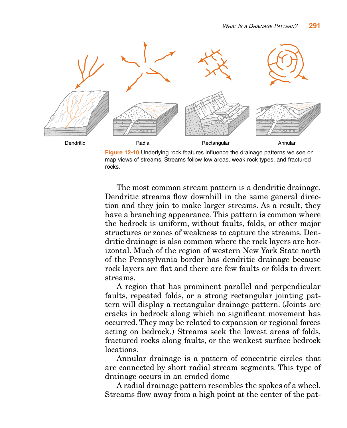

**Figure 12-10** Underlying rock features influence the drainage patterns we see on map views of streams. Streams follow low areas, weak rock types, and fractured rocks.

The most common stream pattern is a dendritic drainage. Dendritic streams flow downhill in the same general direction and they join to make larger streams. As a result, they have a branching appearance. This pattern is common where the bedrock is uniform, without faults, folds, or other major structures or zones of weakness to capture the streams. Dendritic drainage is also common where the rock layers are horizontal. Much of the region of western New York State north of the Pennsylvania border has dendritic drainage because rock layers are flat and there are few faults or folds to divert streams.

A region that has prominent parallel and perpendicular faults, repeated folds, or a strong rectangular jointing pattern will display a rectangular drainage pattern. (Joints are cracks in bedrock along which no significant movement has occurred. They may be related to expansion or regional forces acting on bedrock.) Streams seek the lowest areas of folds, fractured rocks along faults, or the weakest surface bedrock locations.

Annular drainage is a pattern of concentric circles that are connected by short radial stream segments. This type of drainage occurs in an eroded dome

A radial drainage pattern resembles the spokes of a wheel. Streams flow away from a high point at the center of the pat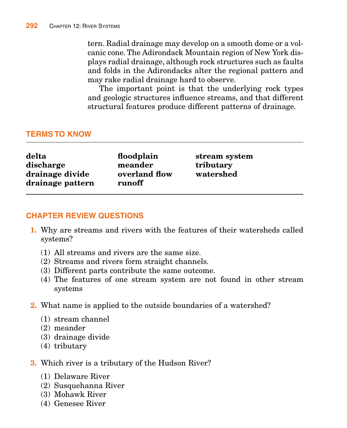tern. Radial drainage may develop on a smooth dome or a volcanic cone. The Adirondack Mountain region of New York displays radial drainage, although rock structures such as faults and folds in the Adirondacks alter the regional pattern and may rake radial drainage hard to observe.

The important point is that the underlying rock types and geologic structures influence streams, and that different structural features produce different patterns of drainage.

## **TERMS TO KNOW**

| delta            | floodplain    | stream system |  |
|------------------|---------------|---------------|--|
| discharge        | meander       | tributary     |  |
| drainage divide  | overland flow | watershed     |  |
| drainage pattern | runoff        |               |  |

## **CHAPTER REVIEW QUESTIONS**

- **1.** Why are streams and rivers with the features of their watersheds called systems?
	- (1) All streams and rivers are the same size.
	- (2) Streams and rivers form straight channels.
	- (3) Different parts contribute the same outcome.
	- (4) The features of one stream system are not found in other stream systems
- **2.** What name is applied to the outside boundaries of a watershed?
	- (1) stream channel
	- (2) meander
	- (3) drainage divide
	- (4) tributary
- **3.** Which river is a tributary of the Hudson River?
	- (1) Delaware River
	- (2) Susquehanna River
	- (3) Mohawk River
	- (4) Genesee River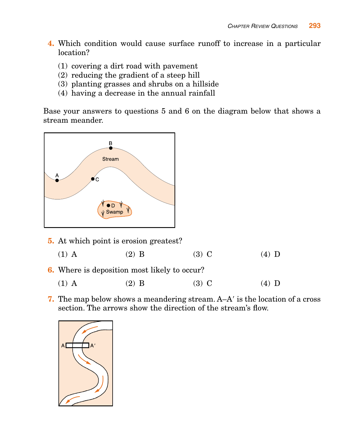- **4.** Which condition would cause surface runoff to increase in a particular location?
	- (1) covering a dirt road with pavement
	- (2) reducing the gradient of a steep hill
	- (3) planting grasses and shrubs on a hillside
	- (4) having a decrease in the annual rainfall

Base your answers to questions 5 and 6 on the diagram below that shows a stream meander.



- **5.** At which point is erosion greatest?
	- (1) A (2) B (3) C (4) D
- **6.** Where is deposition most likely to occur?
	- (1) A (2) B (3) C (4) D
- **7.** The map below shows a meandering stream. A–A' is the location of a cross section. The arrows show the direction of the stream's flow.

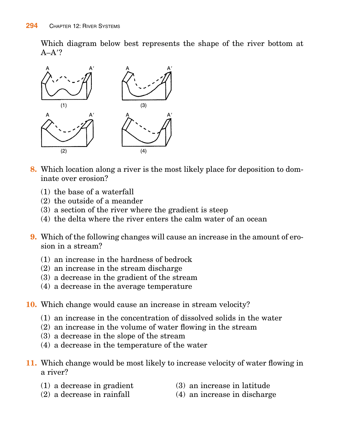Which diagram below best represents the shape of the river bottom at  $A-A'$ ?



- **8.** Which location along a river is the most likely place for deposition to dominate over erosion?
	- (1) the base of a waterfall
	- (2) the outside of a meander
	- (3) a section of the river where the gradient is steep
	- (4) the delta where the river enters the calm water of an ocean
- **9.** Which of the following changes will cause an increase in the amount of erosion in a stream?
	- (1) an increase in the hardness of bedrock
	- (2) an increase in the stream discharge
	- (3) a decrease in the gradient of the stream
	- (4) a decrease in the average temperature
- **10.** Which change would cause an increase in stream velocity?
	- (1) an increase in the concentration of dissolved solids in the water
	- (2) an increase in the volume of water flowing in the stream
	- (3) a decrease in the slope of the stream
	- (4) a decrease in the temperature of the water
- **11.** Which change would be most likely to increase velocity of water flowing in a river?
	- (1) a decrease in gradient (3) an increase in latitude
		-
- 
- (2) a decrease in rainfall (4) an increase in discharge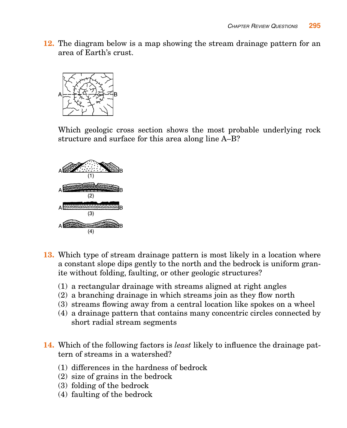**12.** The diagram below is a map showing the stream drainage pattern for an area of Earth's crust.



Which geologic cross section shows the most probable underlying rock structure and surface for this area along line A–B?



- **13.** Which type of stream drainage pattern is most likely in a location where a constant slope dips gently to the north and the bedrock is uniform granite without folding, faulting, or other geologic structures?
	- (1) a rectangular drainage with streams aligned at right angles
	- (2) a branching drainage in which streams join as they flow north
	- (3) streams flowing away from a central location like spokes on a wheel
	- (4) a drainage pattern that contains many concentric circles connected by short radial stream segments
- **14.** Which of the following factors is *least* likely to influence the drainage pattern of streams in a watershed?
	- (1) differences in the hardness of bedrock
	- (2) size of grains in the bedrock
	- (3) folding of the bedrock
	- (4) faulting of the bedrock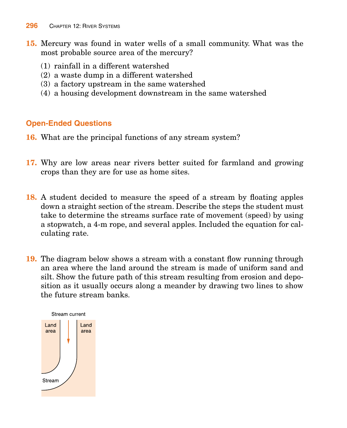- **15.** Mercury was found in water wells of a small community. What was the most probable source area of the mercury?
	- (1) rainfall in a different watershed
	- (2) a waste dump in a different watershed
	- (3) a factory upstream in the same watershed
	- (4) a housing development downstream in the same watershed

## **Open-Ended Questions**

- **16.** What are the principal functions of any stream system?
- **17.** Why are low areas near rivers better suited for farmland and growing crops than they are for use as home sites.
- **18.** A student decided to measure the speed of a stream by floating apples down a straight section of the stream. Describe the steps the student must take to determine the streams surface rate of movement (speed) by using a stopwatch, a 4-m rope, and several apples. Included the equation for calculating rate.
- **19.** The diagram below shows a stream with a constant flow running through an area where the land around the stream is made of uniform sand and silt. Show the future path of this stream resulting from erosion and deposition as it usually occurs along a meander by drawing two lines to show the future stream banks.